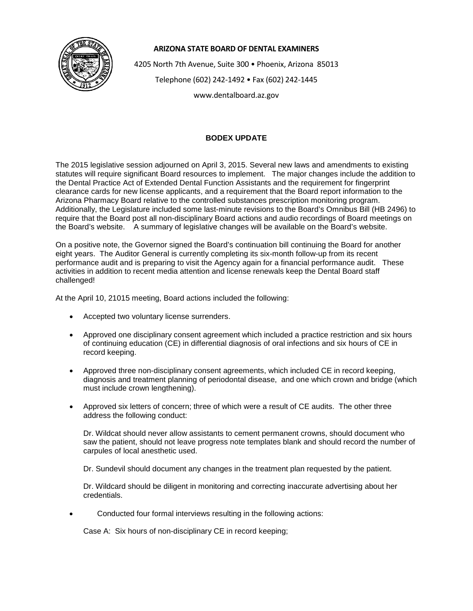

## **ARIZONA STATE BOARD OF DENTAL EXAMINERS**

4205 North 7th Avenue, Suite 300 • Phoenix, Arizona 85013

Telephone (602) 242-1492 • Fax (602) 242-1445

www.dentalboard.az.gov

## **BODEX UPDATE**

The 2015 legislative session adjourned on April 3, 2015. Several new laws and amendments to existing statutes will require significant Board resources to implement. The major changes include the addition to the Dental Practice Act of Extended Dental Function Assistants and the requirement for fingerprint clearance cards for new license applicants, and a requirement that the Board report information to the Arizona Pharmacy Board relative to the controlled substances prescription monitoring program. Additionally, the Legislature included some last-minute revisions to the Board's Omnibus Bill (HB 2496) to require that the Board post all non-disciplinary Board actions and audio recordings of Board meetings on the Board's website. A summary of legislative changes will be available on the Board's website.

On a positive note, the Governor signed the Board's continuation bill continuing the Board for another eight years. The Auditor General is currently completing its six-month follow-up from its recent performance audit and is preparing to visit the Agency again for a financial performance audit. These activities in addition to recent media attention and license renewals keep the Dental Board staff challenged!

At the April 10, 21015 meeting, Board actions included the following:

- Accepted two voluntary license surrenders.
- Approved one disciplinary consent agreement which included a practice restriction and six hours of continuing education (CE) in differential diagnosis of oral infections and six hours of CE in record keeping.
- Approved three non-disciplinary consent agreements, which included CE in record keeping, diagnosis and treatment planning of periodontal disease, and one which crown and bridge (which must include crown lengthening).
- Approved six letters of concern; three of which were a result of CE audits. The other three address the following conduct:

Dr. Wildcat should never allow assistants to cement permanent crowns, should document who saw the patient, should not leave progress note templates blank and should record the number of carpules of local anesthetic used.

Dr. Sundevil should document any changes in the treatment plan requested by the patient.

Dr. Wildcard should be diligent in monitoring and correcting inaccurate advertising about her credentials.

• Conducted four formal interviews resulting in the following actions:

Case A: Six hours of non-disciplinary CE in record keeping;